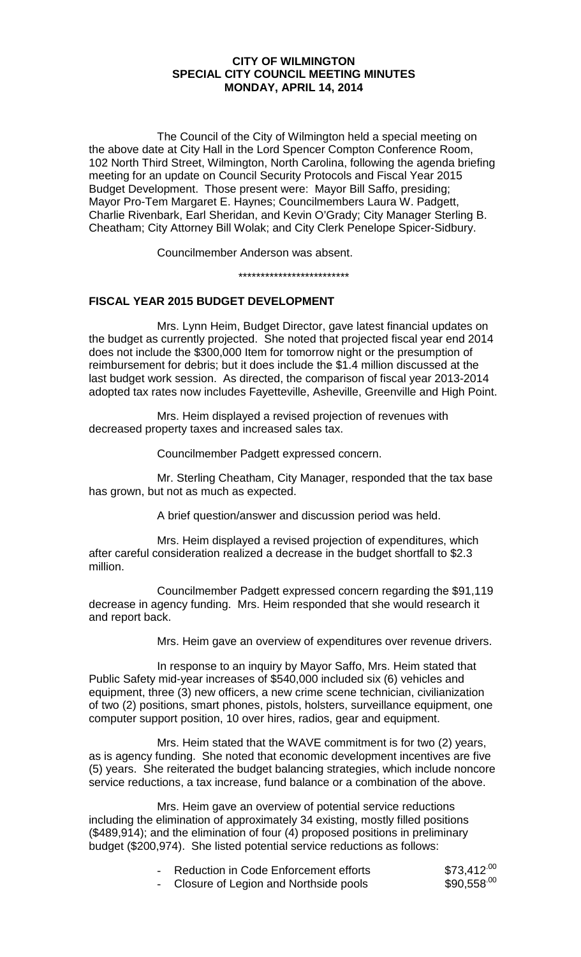### **CITY OF WILMINGTON SPECIAL CITY COUNCIL MEETING MINUTES MONDAY, APRIL 14, 2014**

The Council of the City of Wilmington held a special meeting on the above date at City Hall in the Lord Spencer Compton Conference Room, 102 North Third Street, Wilmington, North Carolina, following the agenda briefing meeting for an update on Council Security Protocols and Fiscal Year 2015 Budget Development. Those present were: Mayor Bill Saffo, presiding; Mayor Pro-Tem Margaret E. Haynes; Councilmembers Laura W. Padgett, Charlie Rivenbark, Earl Sheridan, and Kevin O'Grady; City Manager Sterling B. Cheatham; City Attorney Bill Wolak; and City Clerk Penelope Spicer-Sidbury.

Councilmember Anderson was absent.

\*\*\*\*\*\*\*\*\*\*\*\*\*\*\*\*\*\*\*\*\*\*\*\*\*

# **FISCAL YEAR 2015 BUDGET DEVELOPMENT**

Mrs. Lynn Heim, Budget Director, gave latest financial updates on the budget as currently projected. She noted that projected fiscal year end 2014 does not include the \$300,000 Item for tomorrow night or the presumption of reimbursement for debris; but it does include the \$1.4 million discussed at the last budget work session. As directed, the comparison of fiscal year 2013-2014 adopted tax rates now includes Fayetteville, Asheville, Greenville and High Point.

Mrs. Heim displayed a revised projection of revenues with decreased property taxes and increased sales tax.

Councilmember Padgett expressed concern.

Mr. Sterling Cheatham, City Manager, responded that the tax base has grown, but not as much as expected.

A brief question/answer and discussion period was held.

Mrs. Heim displayed a revised projection of expenditures, which after careful consideration realized a decrease in the budget shortfall to \$2.3 million.

Councilmember Padgett expressed concern regarding the \$91,119 decrease in agency funding. Mrs. Heim responded that she would research it and report back.

Mrs. Heim gave an overview of expenditures over revenue drivers.

In response to an inquiry by Mayor Saffo, Mrs. Heim stated that Public Safety mid-year increases of \$540,000 included six (6) vehicles and equipment, three (3) new officers, a new crime scene technician, civilianization of two (2) positions, smart phones, pistols, holsters, surveillance equipment, one computer support position, 10 over hires, radios, gear and equipment.

Mrs. Heim stated that the WAVE commitment is for two (2) years, as is agency funding. She noted that economic development incentives are five (5) years. She reiterated the budget balancing strategies, which include noncore service reductions, a tax increase, fund balance or a combination of the above.

Mrs. Heim gave an overview of potential service reductions including the elimination of approximately 34 existing, mostly filled positions (\$489,914); and the elimination of four (4) proposed positions in preliminary budget (\$200,974). She listed potential service reductions as follows:

| Reduction in Code Enforcement efforts | $$73,412^{.00}$ |
|---------------------------------------|-----------------|
| Closure of Legion and Northside pools | $$90,558^{.00}$ |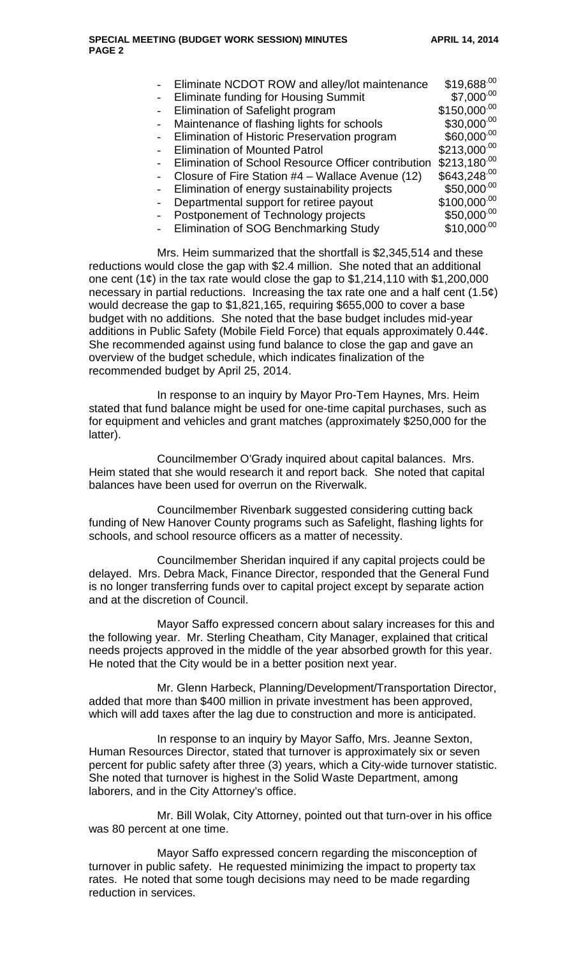| Eliminate NCDOT ROW and alley/lot maintenance       | $$19,688^{.00}$  |
|-----------------------------------------------------|------------------|
| <b>Eliminate funding for Housing Summit</b>         | $$7,000^{00}$    |
| Elimination of Safelight program                    | $$150,000^{00}$  |
| Maintenance of flashing lights for schools          | $$30,000^{.00}$  |
| Elimination of Historic Preservation program        | \$60,000.00      |
| <b>Elimination of Mounted Patrol</b>                | $$213,000^{00}$  |
| Elimination of School Resource Officer contribution | $$213,180^{00}$  |
| Closure of Fire Station #4 - Wallace Avenue (12)    | $$643,248^{.00}$ |
| Elimination of energy sustainability projects       | \$50,000.00      |
| Departmental support for retiree payout             | $$100,000^{.00}$ |
| Postponement of Technology projects                 | $$50,000^{00}$   |
| Elimination of SOG Benchmarking Study               | $$10,000^{.00}$  |

Mrs. Heim summarized that the shortfall is \$2,345,514 and these reductions would close the gap with \$2.4 million. She noted that an additional one cent  $(1¢)$  in the tax rate would close the gap to \$1,214,110 with \$1,200,000 necessary in partial reductions. Increasing the tax rate one and a half cent  $(1.5¢)$ would decrease the gap to \$1,821,165, requiring \$655,000 to cover a base budget with no additions. She noted that the base budget includes mid-year additions in Public Safety (Mobile Field Force) that equals approximately 0.44¢. She recommended against using fund balance to close the gap and gave an overview of the budget schedule, which indicates finalization of the recommended budget by April 25, 2014.

In response to an inquiry by Mayor Pro-Tem Haynes, Mrs. Heim stated that fund balance might be used for one-time capital purchases, such as for equipment and vehicles and grant matches (approximately \$250,000 for the latter).

Councilmember O'Grady inquired about capital balances. Mrs. Heim stated that she would research it and report back. She noted that capital balances have been used for overrun on the Riverwalk.

Councilmember Rivenbark suggested considering cutting back funding of New Hanover County programs such as Safelight, flashing lights for schools, and school resource officers as a matter of necessity.

Councilmember Sheridan inquired if any capital projects could be delayed. Mrs. Debra Mack, Finance Director, responded that the General Fund is no longer transferring funds over to capital project except by separate action and at the discretion of Council.

Mayor Saffo expressed concern about salary increases for this and the following year. Mr. Sterling Cheatham, City Manager, explained that critical needs projects approved in the middle of the year absorbed growth for this year. He noted that the City would be in a better position next year.

Mr. Glenn Harbeck, Planning/Development/Transportation Director, added that more than \$400 million in private investment has been approved, which will add taxes after the lag due to construction and more is anticipated.

In response to an inquiry by Mayor Saffo, Mrs. Jeanne Sexton, Human Resources Director, stated that turnover is approximately six or seven percent for public safety after three (3) years, which a City-wide turnover statistic. She noted that turnover is highest in the Solid Waste Department, among laborers, and in the City Attorney's office.

Mr. Bill Wolak, City Attorney, pointed out that turn-over in his office was 80 percent at one time.

Mayor Saffo expressed concern regarding the misconception of turnover in public safety. He requested minimizing the impact to property tax rates. He noted that some tough decisions may need to be made regarding reduction in services.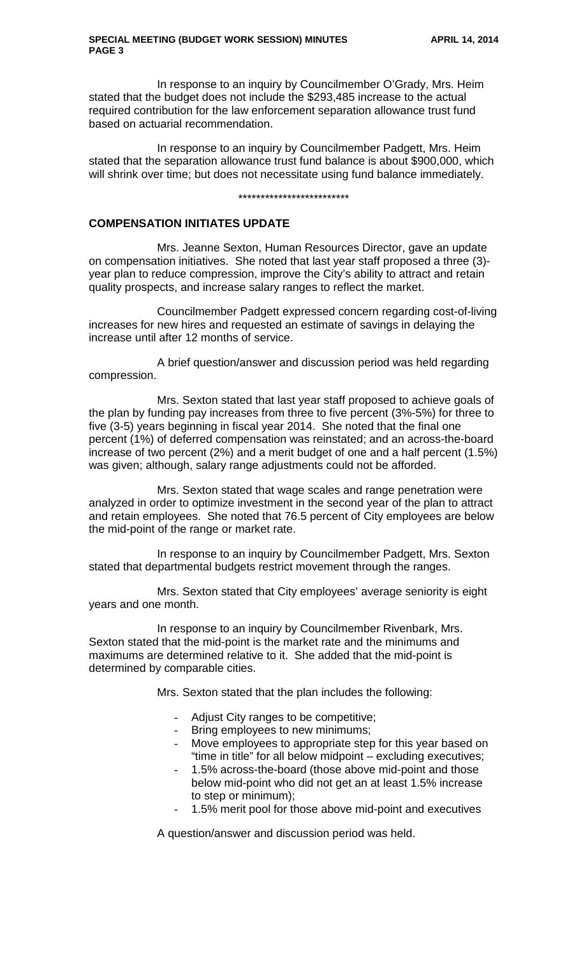In response to an inquiry by Councilmember O'Grady, Mrs. Heim stated that the budget does not include the \$293,485 increase to the actual required contribution for the law enforcement separation allowance trust fund based on actuarial recommendation.

In response to an inquiry by Councilmember Padgett, Mrs. Heim stated that the separation allowance trust fund balance is about \$900,000, which will shrink over time; but does not necessitate using fund balance immediately.

#### \*\*\*\*\*\*\*\*\*\*\*\*\*\*\*\*\*\*\*\*\*\*\*\*\*

# **COMPENSATION INITIATES UPDATE**

Mrs. Jeanne Sexton, Human Resources Director, gave an update on compensation initiatives. She noted that last year staff proposed a three (3) year plan to reduce compression, improve the City's ability to attract and retain quality prospects, and increase salary ranges to reflect the market.

Councilmember Padgett expressed concern regarding cost-of-living increases for new hires and requested an estimate of savings in delaying the increase until after 12 months of service.

A brief question/answer and discussion period was held regarding compression.

Mrs. Sexton stated that last year staff proposed to achieve goals of the plan by funding pay increases from three to five percent (3%-5%) for three to five (3-5) years beginning in fiscal year 2014. She noted that the final one percent (1%) of deferred compensation was reinstated; and an across-the-board increase of two percent (2%) and a merit budget of one and a half percent (1.5%) was given; although, salary range adjustments could not be afforded.

Mrs. Sexton stated that wage scales and range penetration were analyzed in order to optimize investment in the second year of the plan to attract and retain employees. She noted that 76.5 percent of City employees are below the mid-point of the range or market rate.

In response to an inquiry by Councilmember Padgett, Mrs. Sexton stated that departmental budgets restrict movement through the ranges.

Mrs. Sexton stated that City employees' average seniority is eight years and one month.

In response to an inquiry by Councilmember Rivenbark, Mrs. Sexton stated that the mid-point is the market rate and the minimums and maximums are determined relative to it. She added that the mid-point is determined by comparable cities.

Mrs. Sexton stated that the plan includes the following:

- Adjust City ranges to be competitive;
- Bring employees to new minimums;
- Move employees to appropriate step for this year based on "time in title" for all below midpoint – excluding executives;
- 1.5% across-the-board (those above mid-point and those below mid-point who did not get an at least 1.5% increase to step or minimum);
- 1.5% merit pool for those above mid-point and executives

A question/answer and discussion period was held.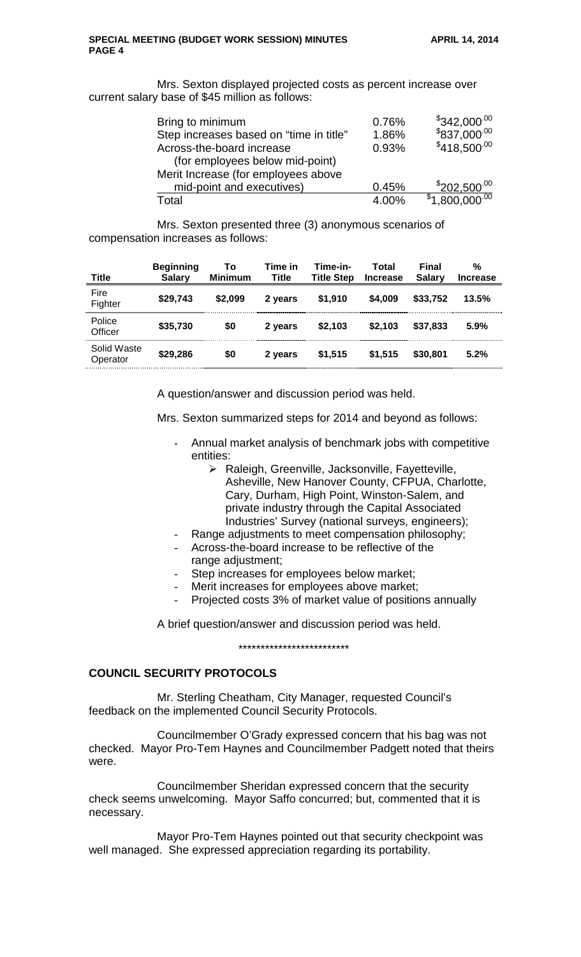Mrs. Sexton displayed projected costs as percent increase over current salary base of \$45 million as follows:

| Bring to minimum                        | 0.76% | $$342,000^{.00}$  |
|-----------------------------------------|-------|-------------------|
| Step increases based on "time in title" | 1.86% | $$837,000^{00}$   |
| Across-the-board increase               | 0.93% | $$418,500^{00}$   |
| (for employees below mid-point)         |       |                   |
| Merit Increase (for employees above     |       |                   |
| mid-point and executives)               | 0.45% | $$202.500^{.00}$  |
| Total                                   | 4.00% | $$1,800.000^{00}$ |

Mrs. Sexton presented three (3) anonymous scenarios of compensation increases as follows:

| <b>Title</b>            | <b>Beginning</b><br><b>Salary</b> | Τo<br><b>Minimum</b> | Time in<br>Title | Time-in-<br><b>Title Step</b> | Total<br><b>Increase</b> | Final<br><b>Salary</b> | %<br><b>Increase</b> |
|-------------------------|-----------------------------------|----------------------|------------------|-------------------------------|--------------------------|------------------------|----------------------|
| Fire<br>Fighter         | \$29,743                          | \$2,099              | 2 years          | \$1,910                       | \$4,009                  | \$33,752               | 13.5%                |
| Police<br>Officer       | \$35,730                          | \$0                  | 2 years          | \$2,103                       | \$2.103                  | \$37.833               | 5.9%                 |
| Solid Waste<br>Operator | \$29,286                          | \$0                  | 2 years          | \$1,515                       | \$1.515                  | \$30,801               | 5.2%                 |

A question/answer and discussion period was held.

Mrs. Sexton summarized steps for 2014 and beyond as follows:

- Annual market analysis of benchmark jobs with competitive entities:
	- > Raleigh, Greenville, Jacksonville, Fayetteville, Asheville, New Hanover County, CFPUA, Charlotte, Cary, Durham, High Point, Winston-Salem, and private industry through the Capital Associated Industries' Survey (national surveys, engineers);
- Range adjustments to meet compensation philosophy;
- Across-the-board increase to be reflective of the
	- range adjustment;
- Step increases for employees below market;
- Merit increases for employees above market;
- Projected costs 3% of market value of positions annually

A brief question/answer and discussion period was held.

\*\*\*\*\*\*\*\*\*\*\*\*\*\*\*\*\*\*\*\*\*\*\*\*\*

### **COUNCIL SECURITY PROTOCOLS**

Mr. Sterling Cheatham, City Manager, requested Council's feedback on the implemented Council Security Protocols.

Councilmember O'Grady expressed concern that his bag was not checked. Mayor Pro-Tem Haynes and Councilmember Padgett noted that theirs were.

Councilmember Sheridan expressed concern that the security check seems unwelcoming. Mayor Saffo concurred; but, commented that it is necessary.

Mayor Pro-Tem Haynes pointed out that security checkpoint was well managed. She expressed appreciation regarding its portability.